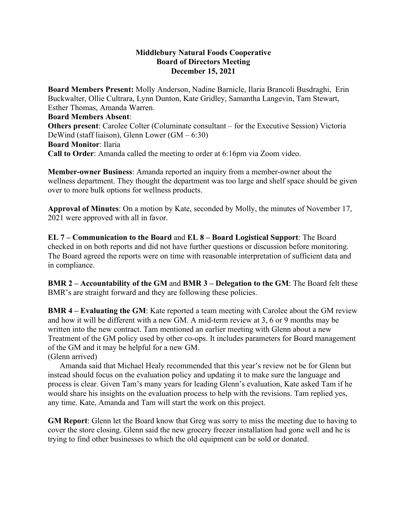## **Middlebury Natural Foods Cooperative Board of Directors Meeting December 15, 2021**

**Board Members Present:** Molly Anderson, Nadine Barnicle, Ilaria Brancoli Busdraghi, Erin Buckwalter, Ollie Cultrara, Lynn Dunton, Kate Gridley, Samantha Langevin, Tam Stewart, Esther Thomas, Amanda Warren. **Board Members Absent**: **Others present**: Carolee Colter (Columinate consultant – for the Executive Session) Victoria DeWind (staff liaison), Glenn Lower (GM – 6:30) **Board Monitor**: Ilaria **Call to Order**: Amanda called the meeting to order at 6:16pm via Zoom video.

**Member-owner Business**: Amanda reported an inquiry from a member-owner about the wellness department. They thought the department was too large and shelf space should be given over to more bulk options for wellness products.

**Approval of Minutes**: On a motion by Kate, seconded by Molly, the minutes of November 17, 2021 were approved with all in favor.

**EL 7 – Communication to the Board** and **EL 8 – Board Logistical Support**: The Board checked in on both reports and did not have further questions or discussion before monitoring. The Board agreed the reports were on time with reasonable interpretation of sufficient data and in compliance.

**BMR 2 – Accountability of the GM** and **BMR 3 – Delegation to the GM**: The Board felt these BMR's are straight forward and they are following these policies.

**BMR 4 – Evaluating the GM**: Kate reported a team meeting with Carolee about the GM review and how it will be different with a new GM. A mid-term review at 3, 6 or 9 months may be written into the new contract. Tam mentioned an earlier meeting with Glenn about a new Treatment of the GM policy used by other co-ops. It includes parameters for Board management of the GM and it may be helpful for a new GM.

(Glenn arrived)

 Amanda said that Michael Healy recommended that this year's review not be for Glenn but instead should focus on the evaluation policy and updating it to make sure the language and process is clear. Given Tam's many years for leading Glenn's evaluation, Kate asked Tam if he would share his insights on the evaluation process to help with the revisions. Tam replied yes, any time. Kate, Amanda and Tam will start the work on this project.

**GM Report**: Glenn let the Board know that Greg was sorry to miss the meeting due to having to cover the store closing. Glenn said the new grocery freezer installation had gone well and he is trying to find other businesses to which the old equipment can be sold or donated.